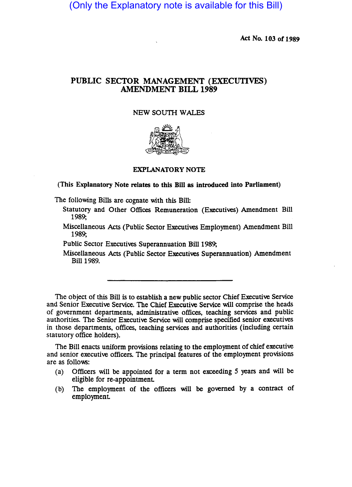(Only the Explanatory note is available for this Bill)

Act No. 103 of 1989

# PUBLIC SECTOR MANAGEMENT (EXECUTIVES) AMENDMENT BILL 1989

#### NEW SOUTH WALES



### EXPLANATORY NOTE

(This Explanatory Note relates to this Bill as introduced into Parliament)

The following Bills are cognate with this Bill:

- Statutory and Other Offices Remuneration (Executives) Amendment Bill 1989;
- Miscellaneous Acts (Public Sector Executives Employment) Amendment Bill 1989;

Public Sector Executives Superannuation Bill 1989;

Miscellaneous Acts (Public Sector Executives Superannuation) Amendment Bill 1989.

The Object of this Bill is to establish a new public sector Chief Executive Service and Senior Executive Service. The Chief Executive Service will comprise the heads of government departments, administrative offices, teaching services and public authorities. The Senior Executive Service will comprise specified senior executives in those departments, offices, teaching services and authorities (including certain statutory office holders).

The Bill enacts uniform provisions relating to the employment of chief executive and senior executive officers. The principal features of the employment provisions are as follows:

- (a) Officers will be appointed for a term not exceeding 5 years and will be eligible for re-appointment
- (b) The employment of the officers will be governed by a contract of employment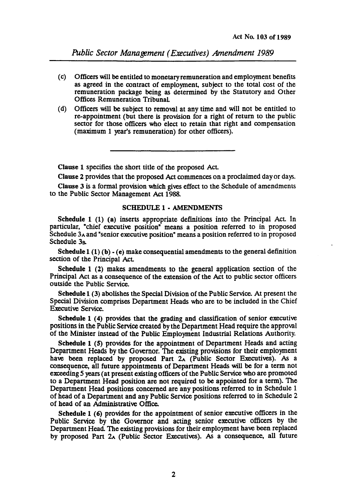*Public Sector Management (Executives) Amendment 1989* 

- (c) Officers will be entitled to monetary remuneration and employment benefits as agreed in the contract of employment, subject to the total cost of the remuneration package being as determined by the Statutory and Other Offices Remuneration Tribunal
- (d) Officers will be subject to removal at any time and will not be entitled to re-appointment (but there is provision for a right of return to the public sector for those officers who elect to retain that right and compensation (maximum 1 year's remuneration) for other officers).

Clause 1 specifies the short title of the proposed Act

Clause 2 provides that the proposed Act commences on a proclaimed day or days.

Clause 3 is a formal provision which gives effect to the Schedule of amendments to the Public Sector Management Act 1988.

#### SCHEDULE 1 • AMENDMENTS

Schedule 1 (1) (a) inserts appropriate definitions into the Principal Act In particular, "chief executive position" means a position referred to in proposed Schedule  $3_A$  and "senior executive position" means a position referred to in proposed Schedule 3&

Schedule 1 (1) (b)  $\cdot$  (e) make consequential amendments to the general definition section of the Principal Act

Schedule 1 (2) makes amendments to the general application section of the Principal Act as a consequence of the extension of the Act to public sector officers outside the Public Service.

Schedule 1 (3) abolishes the Special Division of the Public Service. At present the Special Division comprises Department Heads who are to be included in the Chief Executive Service.

Schedule 1 (4) provides that the grading and classification of senior executive positions in the Public Service created by the Department Head require the approval of the Minister instead of the Public Employment Industrial Relations Authority.

Schedule 1 (S) provides for the appointment of Department Heads and acting Department Heads by the Governor. The existing provisions for their employment have been replaced by proposed Part  $2_A$  (Public Sector Executives). As a consequence, all future appointments of Department Heads will be for a term not exceeding 5 years (at present existing officers of the Public Service who are promoted to a Department Head position are not required to be appointed for a term). The Department Head positions concerned are any positions referred to in Schedule 1 of head of a Department and any Public Service positions referred to in Schedule 2 of head of an Administrative Office.

Schedule 1 (6) provides for the appointment of senior executive officers in the Public Service by the Governor and acting senior executive officers by the Department Head. The existing provisions for their employment have been replaced by proposed Part 2A (Public Sector Executives). As a consequence, all future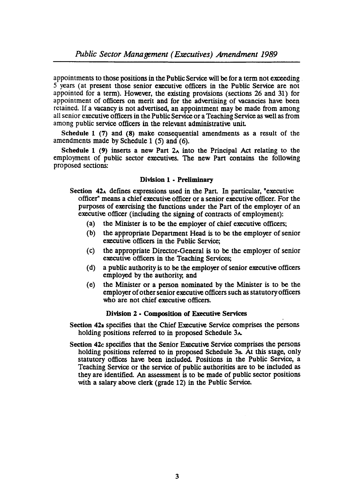appointments to those positions in the Public Service will be for a term not exceeding 5 years (at present those senior executive officers in the Public Service are not appointed for a term). However, the existing provisions (sections  $26$  and  $31$ ) for appointment of officers on merit and for the advertising of vacancies have been retained. If a vacancy is not advertised, an appointment may be made from among all senior executive officers in the Public Service or a Teaching Service as well as from among public service officers in the relevant administrative unit

Schedule 1 (7) and (8) make consequential amendments as a result of the amendments made by Schedule 1 (5) and (6).

Schedule 1 (9) inserts a new Part  $2_A$  into the Principal Act relating to the employment of public sector executives. The new Part contains the follOwing proposed sections:

# Division 1 • Preliminary

- Section  $42<sub>A</sub>$  defines expressions used in the Part. In particular, "executive officer" means a chief executive officer or a senior executive officer. For the purposes of exercising the functions under the Part of the employer of an executive officer (including the signing of contracts of employment):
	- (a) the Minister is to be the employer of chief executive officers;
	- (b) the appropriate Department Head is to be the employer of senior executive officers in the Public Service;
	- (c) the appropriate Director-General is to be the employer of senior executive officers in the Teaching Services;
	- (d) a public authority is to be the employer of senior executive officers employed by the authority; and
	- (e) the Minister or a person nominated by the Minister is to be the employer of other senior executive officers such as statutory officers who are not chief executive officers.

# Division 2 • Composition of Executive Services

Section 42<sup>B</sup> specifies that the Chief Executive Service comprises the persons holding positions referred to in proposed Schedule 3<sup>A</sup>.

Section 42c specifies that the Senior Executive Service comprises the persons holding positions referred to in proposed Schedule 38. At this stage, only statutory offices have been included. Positions in the Public Service, a Teaching Service or the service of public authorities are to be included as they are identified. An assessment is to be made of public sector positions with a salary above clerk (grade 12) in the Public Service.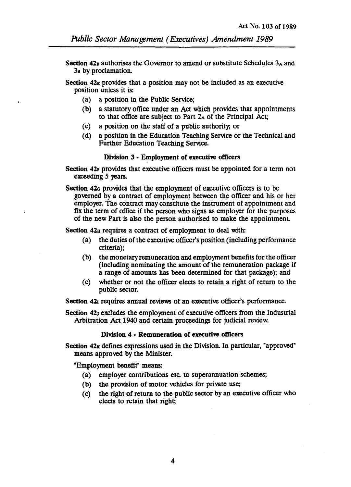- Section 42<sub>p</sub> authorises the Governor to amend or substitute Schedules  $3_A$  and 38 by proclamation.
- Section  $42<sub>E</sub>$  provides that a position may not be included as an executive pOSition unless it is:
	- (a) a position in the Public Service;
	- (b) a statutory office under an Act which provides that appointments to that office are subject to Part 2A of the Principal Act;
	- (c) a position on the staff of a public authority; or
	- (d) a position in the Education Teaching Service or the Technical and Further Education Teaching Service.

# Division 3 • Employment of executive officers

- Section 42r provides that executive officers must be appointed for a term not exceeding *5* years.
- Section 42<sub>G</sub> provides that the employment of executive officers is to be governed by a contract of employment between the officer and his or her employer. The contract may constitute the instrument of appointment and fix the term of office if the person who signs as employer for the purposes of the new Part is also the person authorised to make the appointment.

Section 42u requires a contract of employment to deal with:

- (a) the duties of the executive officer's position (including performance criteria);
- (b) the monetary remuneration and employment benefits for the officer (including nominating the amount of the remuneration package if a range of amounts has been determined for that package); and
- (c) whether or not the officer elects to retain a right of return to the public sector.

Section 42<sub>1</sub> requires annual reviews of an executive officer's performance.

Section 42; excludes the employment of executive officers from the Industrial Arbitration Act 1940 and certain proceedings for judicial review.

# Division 4 • Remuneration of executive officers

Section  $42<sub>K</sub>$  defines expressions used in the Division. In particular, "approved" means approved by the Minister.

"Employment benefit" means:

- (a) employer contributions etc. to superannuation schemes;
- (b) the provision of motor vehicles for private use;
- (c) the right of return to the public sector by an executive officer who elects to retain that right;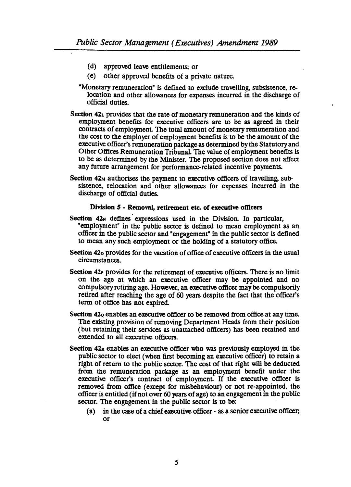- (d) approved leave entitlements; or
- (e) other approved benefits of a private nature.
- "Monetary remuneration" is defined to exclude travelling, subsistence, relocation and other allowances for expenses incurred in the discharge of official duties.
- Section 42L provides that the rate of monetary remuneration and the kinds of employment benefits for executive. officers are to be as agreed in their contracts of employment The total amount of monetary remuneration and the cost to the employer of employment benefits is to be the amount of the executive officer's remuneration package as determined by the Statutory and Other Offices Remuneration Tribunal The value of employment benefits is to be as determined by the Minister. The proposed section does not affect any future arrangement for performance-related incentive payments.
- Section  $42<sub>M</sub>$  authorises the payment to executive officers of travelling, subsistence, relocation and other allowances for expenses incurred in the discharge of official duties.

#### Division 5 - Removal, retirement etc. of executive officers

- Section  $42<sub>N</sub>$  defines expressions used in the Division. In particular, "employment" in the public sector is defined to mean employment as an officer in the public sector and "engagement" in the public sector is defined to mean any such employment or the holding of a statutory office.
- Section 420 provides for the vacation of office of executive officers in the usual circumstances.
- Section 42<sup>,</sup> provides for the retirement of executive officers. There is no limit on the age at which an executive officer may be appointed and no compulsory retiring age. However, an executive officer may be compulsorily retired after reaching the age of 60 years despite the fact that the officer's term of office has not expired.
- Section 42<sub>9</sub> enables an executive officer to be removed from office at any time. The existing provision of removing Department Heads from their position (but retaining their services as unattached officers) has been retained and extended to all executive officers.
- Section 42a enables an executive officer who was previously employed in the public sector to elect (when first becoming an executive officer) to retain a right of return to the public sector. The cost of that right will be deducted from the remuneration package as an employment benefit under the executive officer's contract of employment If the executive officer is removed from office (except for misbehaviour) or not re-appointed, the officer is entitled (if not over 60 years of age) to an engagement in the public sector. The engagement in the public sector is to be:
	- $(a)$  in the case of a chief executive officer as a senior executive officer; or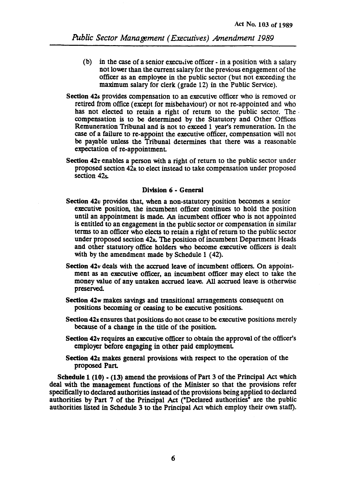- (b) in the case of a senior executive officer  $\overline{\cdot}$  in a position with a salary not lower than the current salary for the previous engagement of the officer as an employee in the public sector (but not exceeding the maximum salary for clerk (grade 12) in the Public Service).
- Section 42s provides compensation to an executive officer who is removed or retired from office (except for misbehaviour) or not re-appointed and who has not elected to retain a right of return to the public sector. The compensation is to be determined by the Statutory and Other Offices Remuneration Tribunal and is not to exceed 1 year's remuneration. In the case of a failure to re-appoint the executive officer, compensation will not be payable unless the Tribunal determines that there was a reasonable expectation of re-appointment
- Section  $42r$  enables a person with a right of return to the public sector under proposed section 42R to elect instead to take compensation under proposed section 42s.

### Division 6 - General

- Section 42u provides that, when a non-statutory position becomes a senior executive position, the incumbent officer continues to hold the position until an appointment is made. An incumbent officer who is not appointed is entitled to an engagement in the public sector or compensation in similar terms to an officer who elects to retain a right of return to the public sector under proposed section 42<sub>R</sub>. The position of incumbent Department Heads and other statutory office holders who become executive officers is dealt with by the amendment made by Schedule 1 (42).
- Section 42v deals with the accrued leave of incumbent officers. On appointment as an executive officer, an incumbent officer may elect to take the money value of any untaken accrued leave. All accrued leave is otherwise preserved.
- Section 42w makes savings and transitional arrangements consequent on pOSitions becoming or ceasing to be executive positions.
- Section 42x ensures that positions do not cease to be executive positions merely because of a change in the title of the position.
- Section 42y requires an executive officer to obtain the approval of the officer's employer before engaging in other paid employment
- Section 42z makes general provisions with respect to the operation of the proposed Part.

Schedule  $1(10)$   $\cdot (13)$  amend the provisions of Part 3 of the Principal Act which deal with the management functions of the Minister so that the provisions refer specifically to declared authorities instead of the provisions being applied to declared authorities by Part 7 of the Principal Act ("Declared authorities" are the public authorities listed in Schedule 3 to the Principal Act which employ their own staff).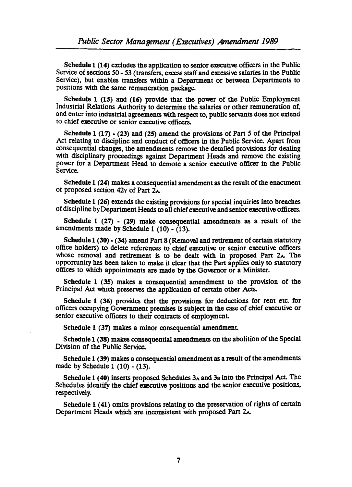Schedule 1 (14) excludes the application to senior executive officers in the Public. Service of sections 50 - 53 (transfers, excess staff and excessive salaries in the Public Service), but enables transfers within a Department or between Departments to positions with the same remuneration package.

Schedule 1 (15) and (16) provide that the power of the Public Employment Industrial Relations Authority to determine the salaries or other remuneration of, and enter into industrial agreements with respect to, public servants does not extend to chief executive or senior executive officers.

Schedule  $1(17)$  - (23) and (25) amend the provisions of Part 5 of the Principal Act relating to discipline and conduct of officers in the Public Service. Apart from consequential changes, the amendments remove the detailed provisions for dealing with disciplinary proceedings against Department Heads and remove the existing power for a Depanment Head to demote a senior executive officer in the Public Service.

Schedule 1 (24) makes a consequential amendment as the result of the enactment of proposed section  $42y$  of Part  $2\lambda$ .

Schedule 1 (26) extends the existing provisions for special inquiries into breaches of discipline by Depanment Heads to all chief executive and senior executive officers.

Schedule 1 (27) • (29) make consequential amendments as a result of the amendments made by Schedule 1 (10) - (13).

Schedule  $1$  (30)  $\cdot$  (34) amend Part 8 (Removal and retirement of certain statutory office holders) to delete references to chief executive or senior executive officers whose removal and retirement is to be dealt with in proposed Part  $2<sub>A</sub>$ . The opportunity has been taken to make it clear that the Part applies only to statutory offices to which appointments are made by the Governor or a Minister.

Schedule 1 (35) makes a consequential amendment to the provision of the Principal Act which preserves the application of certain other Acts.

Schedule 1 (36) provides that the provisions for deductions for rent etc. for officers occupying Government premises is subject in the case of chief executive or senior executive officers to their contracts of employment

Schedule 1 (37) makes a minor consequential amendment

Schedule 1 (38) makes consequential amendments on the abolition of the Special Division of the Public Service.

Schedule 1 (39) makes a consequential amendment as a result of the amendments made by Schedule 1 (10) - (13).

Schedule 1 (40) inserts proposed Schedules  $3_A$  and  $3_B$  into the Principal Act. The Schedules identify the chief executive positions and the senior executive positions, respectively.

Schedule 1 (41) omits provisions relating to the preservation of rights of certain Department Heads which are inconsistent with proposed Part 2x.